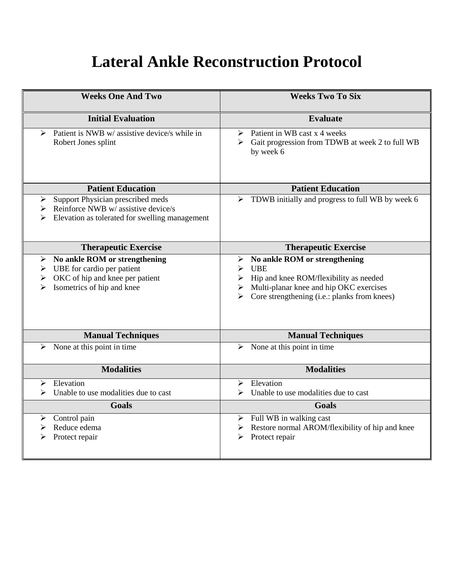## **Lateral Ankle Reconstruction Protocol**

| <b>Weeks One And Two</b>                                                                                                                    | <b>Weeks Two To Six</b>                                                                                                                                                                              |
|---------------------------------------------------------------------------------------------------------------------------------------------|------------------------------------------------------------------------------------------------------------------------------------------------------------------------------------------------------|
| <b>Initial Evaluation</b>                                                                                                                   | <b>Evaluate</b>                                                                                                                                                                                      |
| Patient is NWB w/assistive device/s while in<br>➤<br>Robert Jones splint                                                                    | Patient in WB cast x 4 weeks<br>➤<br>Gait progression from TDWB at week 2 to full WB<br>➤<br>by week 6                                                                                               |
| <b>Patient Education</b>                                                                                                                    | <b>Patient Education</b>                                                                                                                                                                             |
| Support Physician prescribed meds<br>➤<br>Reinforce NWB w/ assistive device/s<br>➤<br>Elevation as tolerated for swelling management        | TDWB initially and progress to full WB by week 6<br>➤                                                                                                                                                |
| <b>Therapeutic Exercise</b>                                                                                                                 | <b>Therapeutic Exercise</b>                                                                                                                                                                          |
| No ankle ROM or strengthening<br>➤<br>UBE for cardio per patient<br>➤<br>OKC of hip and knee per patient<br>➤<br>Isometrics of hip and knee | No ankle ROM or strengthening<br>➤<br><b>UBE</b><br>➤<br>Hip and knee ROM/flexibility as needed<br>Multi-planar knee and hip OKC exercises<br>➤<br>Core strengthening (i.e.: planks from knees)<br>⋗ |
| <b>Manual Techniques</b>                                                                                                                    | <b>Manual Techniques</b>                                                                                                                                                                             |
| None at this point in time<br>⋗                                                                                                             | None at this point in time<br>➤                                                                                                                                                                      |
| <b>Modalities</b>                                                                                                                           | <b>Modalities</b>                                                                                                                                                                                    |
| Elevation<br>⋗<br>Unable to use modalities due to cast                                                                                      | Elevation<br>➤<br>Unable to use modalities due to cast<br>⋗                                                                                                                                          |
| <b>Goals</b>                                                                                                                                | <b>Goals</b>                                                                                                                                                                                         |
| Control pain<br>➤<br>Reduce edema<br>Protect repair                                                                                         | $\triangleright$ Full WB in walking cast<br>Restore normal AROM/flexibility of hip and knee<br>➤<br>Protect repair<br>⋗                                                                              |